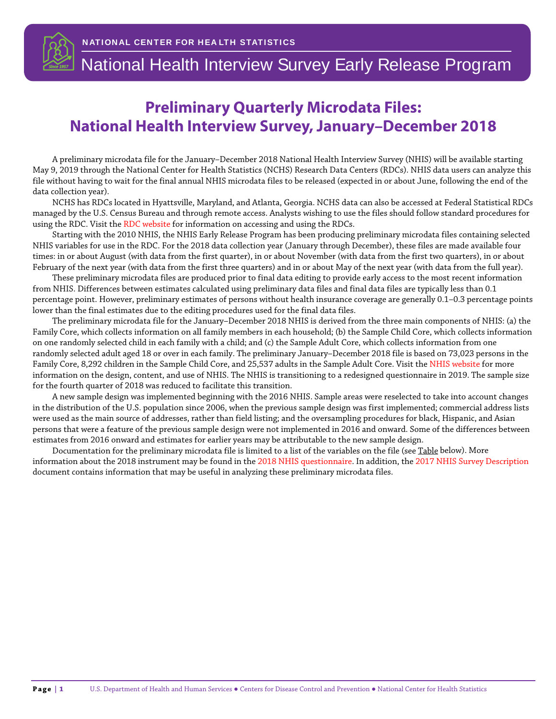



# National Health Interview Survey Early Release Program

# **Preliminary Quarterly Microdata Files: National Health Interview Survey, January–December 2018**

A preliminary microdata file for the January–December 2018 National Health Interview Survey (NHIS) will be available starting May 9, 2019 through the National Center for Health Statistics (NCHS) Research Data Centers (RDCs). NHIS data users can analyze this file without having to wait for the final annual NHIS microdata files to be released (expected in or about June, following the end of the data collection year).

NCHS has RDCs located in Hyattsville, Maryland, and Atlanta, Georgia. NCHS data can also be accessed at Federal Statistical RDCs managed by the U.S. Census Bureau and through remote access. Analysts wishing to use the files should follow standard procedures for using the RDC. Visit the [RDC website](https://www.cdc.gov/rdc/) for information on accessing and using the RDCs.

Starting with the 2010 NHIS, the NHIS Early Release Program has been producing preliminary microdata files containing selected NHIS variables for use in the RDC. For the 2018 data collection year (January through December), these files are made available four times: in or about August (with data from the first quarter), in or about November (with data from the first two quarters), in or about February of the next year (with data from the first three quarters) and in or about May of the next year (with data from the full year).

These preliminary microdata files are produced prior to final data editing to provide early access to the most recent information from NHIS. Differences between estimates calculated using preliminary data files and final data files are typically less than 0.1 percentage point. However, preliminary estimates of persons without health insurance coverage are generally 0.1–0.3 percentage points lower than the final estimates due to the editing procedures used for the final data files.

The preliminary microdata file for the January–December 2018 NHIS is derived from the three main components of NHIS: (a) the Family Core, which collects information on all family members in each household; (b) the Sample Child Core, which collects information on one randomly selected child in each family with a child; and (c) the Sample Adult Core, which collects information from one randomly selected adult aged 18 or over in each family. The preliminary January–December 2018 file is based on 73,023 persons in the Family Core, 8,292 children in the Sample Child Core, and 25,537 adults in the Sample Adult Core. Visit th[e NHIS website](https://www.cdc.gov/nchs/nhis.htm) for more information on the design, content, and use of NHIS. The NHIS is transitioning to a redesigned questionnaire in 2019. The sample size for the fourth quarter of 2018 was reduced to facilitate this transition.

A new sample design was implemented beginning with the 2016 NHIS. Sample areas were reselected to take into account changes in the distribution of the U.S. population since 2006, when the previous sample design was first implemented; commercial address lists were used as the main source of addresses, rather than field listing; and the oversampling procedures for black, Hispanic, and Asian persons that were a feature of the previous sample design were not implemented in 2016 and onward. Some of the differences between estimates from 2016 onward and estimates for earlier years may be attributable to the new sample design.

Documentation for the preliminary microdata file is limited to a list of the variables on the file (se[e Table](#page-1-0) below). More information about the 2018 instrument may be found in the 2018 [NHIS questionnaire.](ftp://ftp.cdc.gov/pub/Health_Statistics/NCHS/Survey_Questionnaires/NHIS/2018/english) In addition, th[e 2017 NHIS Survey Description](ftp://ftp.cdc.gov/pub/Health_Statistics/NCHS/Dataset_Documentation/NHIS/2017/srvydesc.pdf) document contains information that may be useful in analyzing these preliminary microdata files.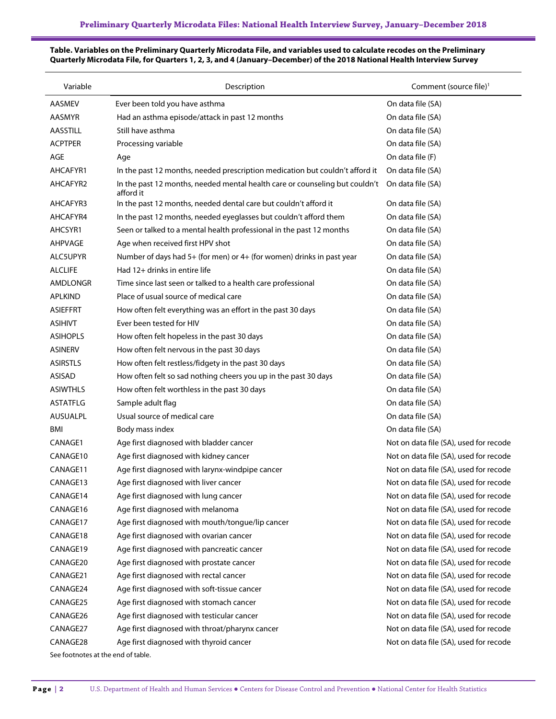<span id="page-1-0"></span>

| Variable        | Description                                                                              | Comment (source file) <sup>1</sup>     |
|-----------------|------------------------------------------------------------------------------------------|----------------------------------------|
| <b>AASMEV</b>   | Ever been told you have asthma                                                           | On data file (SA)                      |
| <b>AASMYR</b>   | Had an asthma episode/attack in past 12 months                                           | On data file (SA)                      |
| <b>AASSTILL</b> | Still have asthma                                                                        | On data file (SA)                      |
| <b>ACPTPER</b>  | Processing variable                                                                      | On data file (SA)                      |
| AGE             | Age                                                                                      | On data file (F)                       |
| AHCAFYR1        | In the past 12 months, needed prescription medication but couldn't afford it             | On data file (SA)                      |
| AHCAFYR2        | In the past 12 months, needed mental health care or counseling but couldn't<br>afford it | On data file (SA)                      |
| AHCAFYR3        | In the past 12 months, needed dental care but couldn't afford it                         | On data file (SA)                      |
| AHCAFYR4        | In the past 12 months, needed eyeglasses but couldn't afford them                        | On data file (SA)                      |
| AHCSYR1         | Seen or talked to a mental health professional in the past 12 months                     | On data file (SA)                      |
| <b>AHPVAGE</b>  | Age when received first HPV shot                                                         | On data file (SA)                      |
| ALC5UPYR        | Number of days had 5+ (for men) or 4+ (for women) drinks in past year                    | On data file (SA)                      |
| <b>ALCLIFE</b>  | Had 12+ drinks in entire life                                                            | On data file (SA)                      |
| <b>AMDLONGR</b> | Time since last seen or talked to a health care professional                             | On data file (SA)                      |
| <b>APLKIND</b>  | Place of usual source of medical care                                                    | On data file (SA)                      |
| ASIEFFRT        | How often felt everything was an effort in the past 30 days                              | On data file (SA)                      |
| <b>ASIHIVT</b>  | Ever been tested for HIV                                                                 | On data file (SA)                      |
| <b>ASIHOPLS</b> | How often felt hopeless in the past 30 days                                              | On data file (SA)                      |
| <b>ASINERV</b>  | How often felt nervous in the past 30 days                                               | On data file (SA)                      |
| <b>ASIRSTLS</b> | How often felt restless/fidgety in the past 30 days                                      | On data file (SA)                      |
| <b>ASISAD</b>   | How often felt so sad nothing cheers you up in the past 30 days                          | On data file (SA)                      |
| <b>ASIWTHLS</b> | How often felt worthless in the past 30 days                                             | On data file (SA)                      |
| <b>ASTATFLG</b> | Sample adult flag                                                                        | On data file (SA)                      |
| <b>AUSUALPL</b> | Usual source of medical care                                                             | On data file (SA)                      |
| <b>BMI</b>      | Body mass index                                                                          | On data file (SA)                      |
| CANAGE1         | Age first diagnosed with bladder cancer                                                  | Not on data file (SA), used for recode |
| CANAGE10        | Age first diagnosed with kidney cancer                                                   | Not on data file (SA), used for recode |
| CANAGE11        | Age first diagnosed with larynx-windpipe cancer                                          | Not on data file (SA), used for recode |
| CANAGE13        | Age first diagnosed with liver cancer                                                    | Not on data file (SA), used for recode |
| CANAGE14        | Age first diagnosed with lung cancer                                                     | Not on data file (SA), used for recode |
| CANAGE16        | Age first diagnosed with melanoma                                                        | Not on data file (SA), used for recode |
| CANAGE17        | Age first diagnosed with mouth/tongue/lip cancer                                         | Not on data file (SA), used for recode |
| CANAGE18        | Age first diagnosed with ovarian cancer                                                  | Not on data file (SA), used for recode |
| CANAGE19        | Age first diagnosed with pancreatic cancer                                               | Not on data file (SA), used for recode |
| CANAGE20        | Age first diagnosed with prostate cancer                                                 | Not on data file (SA), used for recode |
| CANAGE21        | Age first diagnosed with rectal cancer                                                   | Not on data file (SA), used for recode |
| CANAGE24        | Age first diagnosed with soft-tissue cancer                                              | Not on data file (SA), used for recode |
| CANAGE25        | Age first diagnosed with stomach cancer                                                  | Not on data file (SA), used for recode |
| CANAGE26        | Age first diagnosed with testicular cancer                                               | Not on data file (SA), used for recode |
| CANAGE27        | Age first diagnosed with throat/pharynx cancer                                           | Not on data file (SA), used for recode |
| CANAGE28        | Age first diagnosed with thyroid cancer                                                  | Not on data file (SA), used for recode |
|                 |                                                                                          |                                        |

See footnotes at the end of table.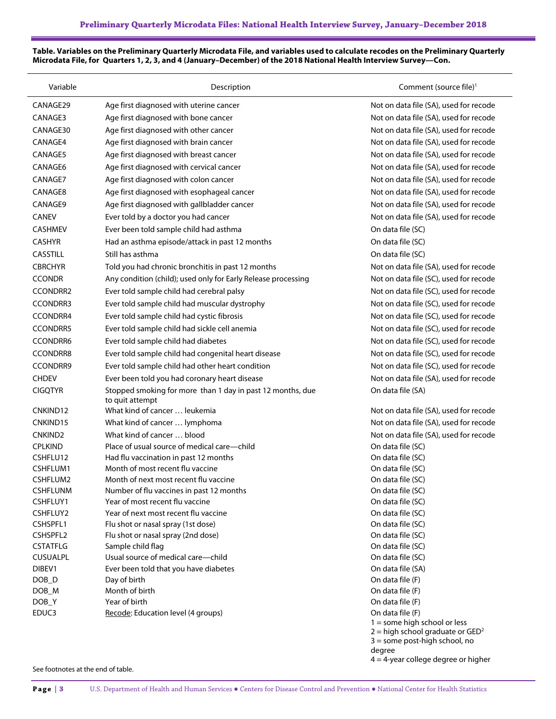| Variable                    | Description                                                                   | Comment (source file) <sup>1</sup>                                                                                                      |
|-----------------------------|-------------------------------------------------------------------------------|-----------------------------------------------------------------------------------------------------------------------------------------|
| CANAGE29                    | Age first diagnosed with uterine cancer                                       | Not on data file (SA), used for recode                                                                                                  |
| CANAGE3                     | Age first diagnosed with bone cancer                                          | Not on data file (SA), used for recode                                                                                                  |
| CANAGE30                    | Age first diagnosed with other cancer                                         | Not on data file (SA), used for recode                                                                                                  |
| CANAGE4                     | Age first diagnosed with brain cancer                                         | Not on data file (SA), used for recode                                                                                                  |
| CANAGE5                     | Age first diagnosed with breast cancer                                        | Not on data file (SA), used for recode                                                                                                  |
| CANAGE6                     | Age first diagnosed with cervical cancer                                      | Not on data file (SA), used for recode                                                                                                  |
| CANAGE7                     | Age first diagnosed with colon cancer                                         | Not on data file (SA), used for recode                                                                                                  |
| CANAGE8                     | Age first diagnosed with esophageal cancer                                    | Not on data file (SA), used for recode                                                                                                  |
| CANAGE9                     | Age first diagnosed with gallbladder cancer                                   | Not on data file (SA), used for recode                                                                                                  |
| <b>CANEV</b>                | Ever told by a doctor you had cancer                                          | Not on data file (SA), used for recode                                                                                                  |
| <b>CASHMEV</b>              |                                                                               | On data file (SC)                                                                                                                       |
|                             | Ever been told sample child had asthma                                        |                                                                                                                                         |
| <b>CASHYR</b>               | Had an asthma episode/attack in past 12 months                                | On data file (SC)                                                                                                                       |
| CASSTILL                    | Still has asthma                                                              | On data file (SC)                                                                                                                       |
| <b>CBRCHYR</b>              | Told you had chronic bronchitis in past 12 months                             | Not on data file (SA), used for recode                                                                                                  |
| <b>CCONDR</b>               | Any condition (child); used only for Early Release processing                 | Not on data file (SC), used for recode                                                                                                  |
| <b>CCONDRR2</b>             | Ever told sample child had cerebral palsy                                     | Not on data file (SC), used for recode                                                                                                  |
| <b>CCONDRR3</b>             | Ever told sample child had muscular dystrophy                                 | Not on data file (SC), used for recode                                                                                                  |
| <b>CCONDRR4</b>             | Ever told sample child had cystic fibrosis                                    | Not on data file (SC), used for recode                                                                                                  |
| <b>CCONDRR5</b>             | Ever told sample child had sickle cell anemia                                 | Not on data file (SC), used for recode                                                                                                  |
| <b>CCONDRR6</b>             | Ever told sample child had diabetes                                           | Not on data file (SC), used for recode                                                                                                  |
| <b>CCONDRR8</b>             | Ever told sample child had congenital heart disease                           | Not on data file (SC), used for recode                                                                                                  |
| <b>CCONDRR9</b>             | Ever told sample child had other heart condition                              | Not on data file (SC), used for recode                                                                                                  |
| <b>CHDEV</b>                | Ever been told you had coronary heart disease                                 | Not on data file (SA), used for recode                                                                                                  |
| <b>CIGQTYR</b>              | Stopped smoking for more than 1 day in past 12 months, due<br>to quit attempt | On data file (SA)                                                                                                                       |
| CNKIND12                    | What kind of cancer  leukemia                                                 | Not on data file (SA), used for recode                                                                                                  |
| CNKIND15                    | What kind of cancer  lymphoma                                                 | Not on data file (SA), used for recode                                                                                                  |
| CNKIND <sub>2</sub>         | What kind of cancer  blood                                                    | Not on data file (SA), used for recode                                                                                                  |
| <b>CPLKIND</b>              | Place of usual source of medical care-child                                   | On data file (SC)                                                                                                                       |
| CSHFLU12                    | Had flu vaccination in past 12 months                                         | On data file (SC)                                                                                                                       |
| CSHFLUM1                    | Month of most recent flu vaccine                                              | On data file (SC)                                                                                                                       |
| CSHFLUM2                    | Month of next most recent flu vaccine                                         | On data file (SC)                                                                                                                       |
| <b>CSHFLUNM</b>             | Number of flu vaccines in past 12 months                                      | On data file (SC)                                                                                                                       |
| CSHFLUY1                    | Year of most recent flu vaccine                                               | On data file (SC)                                                                                                                       |
| CSHFLUY2                    | Year of next most recent flu vaccine                                          | On data file (SC)                                                                                                                       |
| CSHSPFL1                    | Flu shot or nasal spray (1st dose)                                            | On data file (SC)                                                                                                                       |
| CSHSPFL2<br><b>CSTATFLG</b> | Flu shot or nasal spray (2nd dose)<br>Sample child flag                       | On data file (SC)<br>On data file (SC)                                                                                                  |
| <b>CUSUALPL</b>             | Usual source of medical care-child                                            | On data file (SC)                                                                                                                       |
| DIBEV1                      | Ever been told that you have diabetes                                         | On data file (SA)                                                                                                                       |
| DOB_D                       | Day of birth                                                                  | On data file (F)                                                                                                                        |
| DOB_M                       | Month of birth                                                                | On data file (F)                                                                                                                        |
| DOB_Y                       | Year of birth                                                                 | On data file (F)                                                                                                                        |
| EDUC3                       | Recode: Education level (4 groups)                                            | On data file (F)<br>$1 =$ some high school or less<br>$2 =$ high school graduate or GED <sup>2</sup><br>$3 =$ some post-high school, no |

See footnotes at the end of table.

degree

 $4 = 4$ -year college degree or higher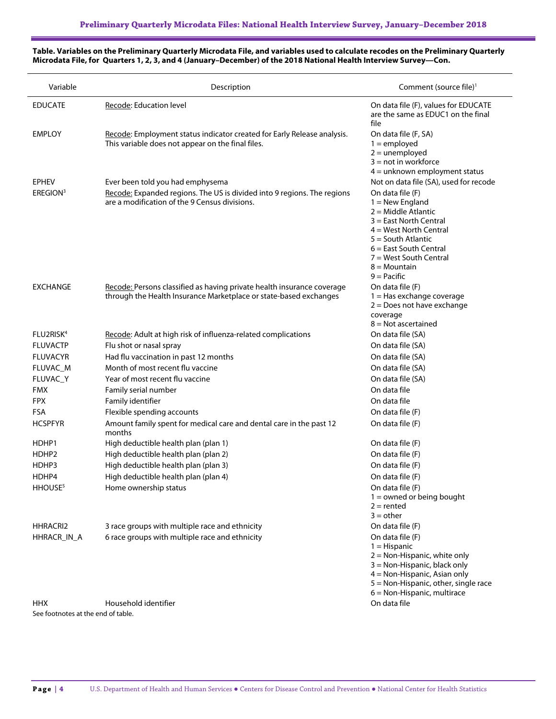| Variable                           | Description                                                                                                                                 | Comment (source file) <sup>1</sup>                                                                                                                                                                                                    |  |
|------------------------------------|---------------------------------------------------------------------------------------------------------------------------------------------|---------------------------------------------------------------------------------------------------------------------------------------------------------------------------------------------------------------------------------------|--|
| <b>EDUCATE</b>                     | Recode: Education level                                                                                                                     | On data file (F), values for EDUCATE<br>are the same as EDUC1 on the final<br>file                                                                                                                                                    |  |
| <b>EMPLOY</b>                      | Recode: Employment status indicator created for Early Release analysis.<br>This variable does not appear on the final files.                | On data file (F, SA)<br>$1 =$ employed<br>$2 =$ unemployed<br>$3 = not$ in workforce<br>$4 =$ unknown employment status                                                                                                               |  |
| <b>EPHEV</b>                       | Ever been told you had emphysema                                                                                                            | Not on data file (SA), used for recode                                                                                                                                                                                                |  |
| EREGION <sup>3</sup>               | Recode: Expanded regions. The US is divided into 9 regions. The regions<br>are a modification of the 9 Census divisions.                    | On data file (F)<br>$1 =$ New England<br>$2 =$ Middle Atlantic<br>3 = East North Central<br>$4 =$ West North Central<br>$5 =$ South Atlantic<br>$6$ = East South Central<br>7 = West South Central<br>$8 =$ Mountain<br>$9 =$ Pacific |  |
| <b>EXCHANGE</b>                    | Recode: Persons classified as having private health insurance coverage<br>through the Health Insurance Marketplace or state-based exchanges | On data file (F)<br>1 = Has exchange coverage<br>$2 = Does not have exchange$<br>coverage<br>$8 = Not$ ascertained                                                                                                                    |  |
| FLU2RISK <sup>4</sup>              | Recode: Adult at high risk of influenza-related complications                                                                               | On data file (SA)                                                                                                                                                                                                                     |  |
| <b>FLUVACTP</b>                    | Flu shot or nasal spray                                                                                                                     | On data file (SA)                                                                                                                                                                                                                     |  |
| <b>FLUVACYR</b>                    | Had flu vaccination in past 12 months                                                                                                       | On data file (SA)                                                                                                                                                                                                                     |  |
| FLUVAC_M                           | Month of most recent flu vaccine                                                                                                            | On data file (SA)                                                                                                                                                                                                                     |  |
| FLUVAC_Y                           | Year of most recent flu vaccine                                                                                                             | On data file (SA)                                                                                                                                                                                                                     |  |
| <b>FMX</b>                         | Family serial number                                                                                                                        | On data file                                                                                                                                                                                                                          |  |
| <b>FPX</b>                         | Family identifier                                                                                                                           | On data file                                                                                                                                                                                                                          |  |
| <b>FSA</b>                         | Flexible spending accounts                                                                                                                  | On data file (F)                                                                                                                                                                                                                      |  |
| <b>HCSPFYR</b>                     | Amount family spent for medical care and dental care in the past 12<br>months                                                               | On data file (F)                                                                                                                                                                                                                      |  |
| HDHP1                              | High deductible health plan (plan 1)                                                                                                        | On data file (F)                                                                                                                                                                                                                      |  |
| HDHP <sub>2</sub>                  | High deductible health plan (plan 2)                                                                                                        | On data file (F)                                                                                                                                                                                                                      |  |
| HDHP3                              | High deductible health plan (plan 3)                                                                                                        | On data file (F)                                                                                                                                                                                                                      |  |
| HDHP4                              | High deductible health plan (plan 4)                                                                                                        | On data file (F)                                                                                                                                                                                                                      |  |
| HHOUSE <sup>5</sup>                | Home ownership status                                                                                                                       | On data file (F)<br>$1 =$ owned or being bought<br>$2 =$ rented<br>$3 =$ other                                                                                                                                                        |  |
| HHRACRI2                           | 3 race groups with multiple race and ethnicity                                                                                              | On data file (F)                                                                                                                                                                                                                      |  |
| HHRACR_IN_A                        | 6 race groups with multiple race and ethnicity                                                                                              | On data file (F)<br>$1 =$ Hispanic<br>$2 =$ Non-Hispanic, white only<br>3 = Non-Hispanic, black only<br>4 = Non-Hispanic, Asian only<br>5 = Non-Hispanic, other, single race<br>6 = Non-Hispanic, multirace                           |  |
| <b>HHX</b>                         | Household identifier                                                                                                                        | On data file                                                                                                                                                                                                                          |  |
| See footnotes at the end of table. |                                                                                                                                             |                                                                                                                                                                                                                                       |  |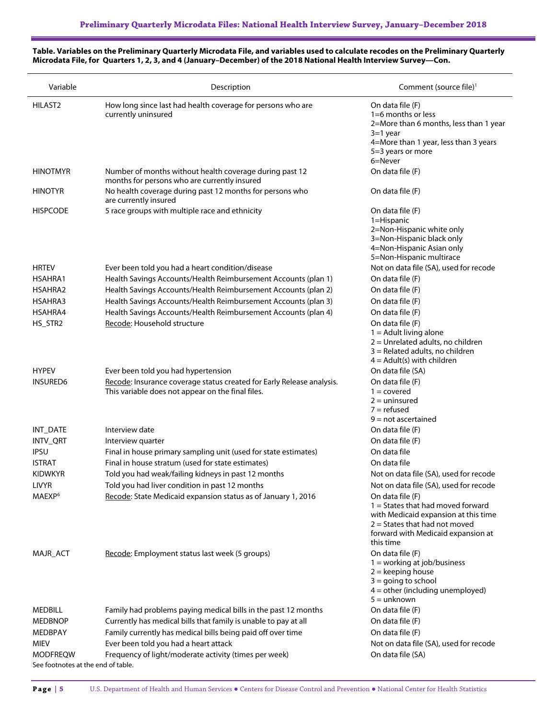#### Variable Description Comment (source file)1 HILAST2 How long since last had health coverage for persons who are currently uninsured On data file (F) 1=6 months or less 2=More than 6 months, less than 1 year 3=1 year 4=More than 1 year, less than 3 years 5=3 years or more 6=Never HINOTMYR Number of months without health coverage during past 12 months for persons who are currently insured On data file (F) HINOTYR No health coverage during past 12 months for persons who are currently insured On data file (F) HISPCODE 5 race groups with multiple race and ethnicity 5 race  $\overline{S}$  On data file (F) 1=Hispanic 2=Non-Hispanic white only 3=Non-Hispanic black only 4=Non-Hispanic Asian only 5=Non-Hispanic multirace HRTEV Ever been told you had a heart condition/disease Not on data file (SA), used for recode HSAHRA1 Health Savings Accounts/Health Reimbursement Accounts (plan 1) On data file (F) HSAHRA2 Health Savings Accounts/Health Reimbursement Accounts (plan 2) On data file (F) HSAHRA3 Health Savings Accounts/Health Reimbursement Accounts (plan 3) On data file (F) HSAHRA4 Health Savings Accounts/Health Reimbursement Accounts (plan 4) On data file (F) HS\_STR2 Recode: Household structure On data file (F)  $1 =$  Adult living alone 2 = Unrelated adults, no children 3 = Related adults, no children  $4 =$  Adult(s) with children HYPEV Ever been told you had hypertension **Example 2018** On data file (SA) INSURED6 Recode: Insurance coverage status created for Early Release analysis. This variable does not appear on the final files. On data file (F)  $1 =$  covered  $2 =$  uninsured  $7 =$  refused 9 = not ascertained INT\_DATE interview date in the original control of the original control on data file (F) in the original control of the original control of the original control of the original control of the original control of the origin INTV\_QRT Interview quarter **Interview of the CON** data file (F) IPSU Final in house primary sampling unit (used for state estimates) On data file ISTRAT Final in house stratum (used for state estimates) Settember 1988 on data file KIDWKYR Told you had weak/failing kidneys in past 12 months Not on data file (SA), used for recode LIVYR Told you had liver condition in past 12 months Not on data file (SA), used for recode MAEXP<sup>6</sup> Recode: State Medicaid expansion status as of January 1, 2016 **On data file (F)** Recode: State Medicaid expansion status as of January 1, 2016 1 = States that had moved forward with Medicaid expansion at this time 2 = States that had not moved forward with Medicaid expansion at this time MAJR\_ACT Recode: Employment status last week (5 groups) Chata file (F) 1 = working at job/business  $2 =$  keeping house  $3 =$  going to school  $4 =$  other (including unemployed) 5 = unknown MEDBILL Family had problems paying medical bills in the past 12 months On data file (F) MEDBNOP Currently has medical bills that family is unable to pay at all On data file (F) MEDBPAY Family currently has medical bills being paid off over time On data file (F) MIEV Ever been told you had a heart attack Not on data file (SA), used for recode MODFREQW Frequency of light/moderate activity (times per week) On data file (SA) See footnotes at the end of table.

#### **Table. Variables on the Preliminary Quarterly Microdata File, and variables used to calculate recodes on the Preliminary Quarterly Microdata File, for Quarters 1, 2, 3, and 4 (January–December) of the 2018 National Health Interview Survey—Con.**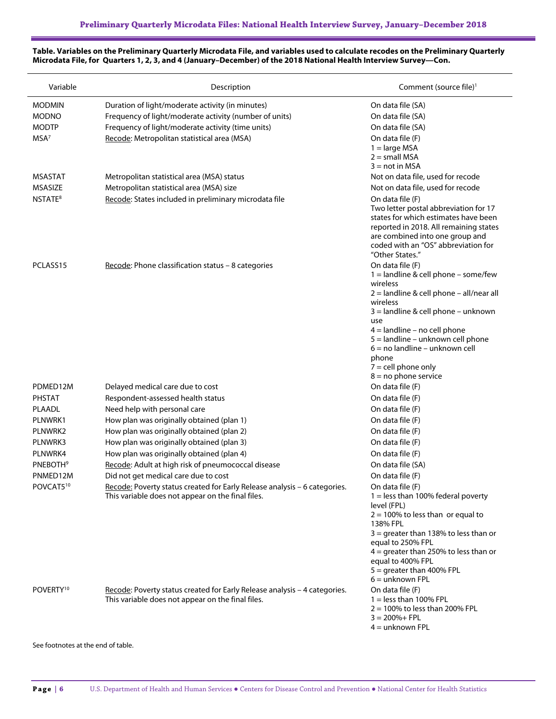| Variable                   | Description                                                                                                                    | Comment (source file) <sup>1</sup>                                                                                                                         |
|----------------------------|--------------------------------------------------------------------------------------------------------------------------------|------------------------------------------------------------------------------------------------------------------------------------------------------------|
| <b>MODMIN</b>              | Duration of light/moderate activity (in minutes)                                                                               | On data file (SA)                                                                                                                                          |
| <b>MODNO</b>               | Frequency of light/moderate activity (number of units)                                                                         | On data file (SA)                                                                                                                                          |
| <b>MODTP</b>               | Frequency of light/moderate activity (time units)                                                                              | On data file (SA)                                                                                                                                          |
| MSA <sup>7</sup>           | Recode: Metropolitan statistical area (MSA)                                                                                    | On data file (F)                                                                                                                                           |
|                            |                                                                                                                                | $1 = \text{large } MSA$                                                                                                                                    |
|                            |                                                                                                                                | $2 =$ small MSA                                                                                                                                            |
| <b>MSASTAT</b>             |                                                                                                                                | $3 = not in MSA$<br>Not on data file, used for recode                                                                                                      |
| <b>MSASIZE</b>             | Metropolitan statistical area (MSA) status<br>Metropolitan statistical area (MSA) size                                         | Not on data file, used for recode                                                                                                                          |
| NSTATE <sup>8</sup>        | Recode: States included in preliminary microdata file                                                                          | On data file (F)                                                                                                                                           |
|                            |                                                                                                                                | Two letter postal abbreviation for 17<br>states for which estimates have been<br>reported in 2018. All remaining states<br>are combined into one group and |
|                            |                                                                                                                                | coded with an "OS" abbreviation for<br>"Other States."                                                                                                     |
| PCLASS15                   | Recode: Phone classification status - 8 categories                                                                             | On data file (F)<br>$1 =$ landline & cell phone – some/few                                                                                                 |
|                            |                                                                                                                                | wireless                                                                                                                                                   |
|                            |                                                                                                                                | $2 =$ landline & cell phone – all/near all<br>wireless                                                                                                     |
|                            |                                                                                                                                | $3 =$ landline & cell phone – unknown<br>use                                                                                                               |
|                            |                                                                                                                                | $4 =$ landline – no cell phone                                                                                                                             |
|                            |                                                                                                                                | 5 = landline - unknown cell phone<br>$6 = no$ landline – unknown cell                                                                                      |
|                            |                                                                                                                                | phone<br>$7 =$ cell phone only                                                                                                                             |
|                            |                                                                                                                                | $8 = no$ phone service                                                                                                                                     |
| PDMED12M                   | Delayed medical care due to cost                                                                                               | On data file (F)                                                                                                                                           |
| <b>PHSTAT</b>              | Respondent-assessed health status                                                                                              | On data file (F)                                                                                                                                           |
| <b>PLAADL</b>              | Need help with personal care                                                                                                   | On data file (F)                                                                                                                                           |
| PLNWRK1                    | How plan was originally obtained (plan 1)                                                                                      | On data file (F)                                                                                                                                           |
| PLNWRK2                    | How plan was originally obtained (plan 2)                                                                                      | On data file (F)                                                                                                                                           |
| PLNWRK3                    | How plan was originally obtained (plan 3)                                                                                      | On data file (F)                                                                                                                                           |
| PLNWRK4                    | How plan was originally obtained (plan 4)                                                                                      | On data file (F)                                                                                                                                           |
| <b>PNEBOTH<sup>9</sup></b> | Recode: Adult at high risk of pneumococcal disease                                                                             | On data file (SA)                                                                                                                                          |
| PNMED12M                   | Did not get medical care due to cost                                                                                           | On data file (F)                                                                                                                                           |
| POVCAT5 <sup>10</sup>      | Recode: Poverty status created for Early Release analysis - 6 categories.<br>This variable does not appear on the final files. | On data file (F)<br>$1 =$ less than 100% federal poverty<br>level (FPL)                                                                                    |
|                            |                                                                                                                                | $2 = 100\%$ to less than or equal to<br>138% FPL                                                                                                           |
|                            |                                                                                                                                | $3 =$ greater than 138% to less than or<br>equal to 250% FPL                                                                                               |
|                            |                                                                                                                                | $4 =$ greater than 250% to less than or<br>equal to 400% FPL                                                                                               |
|                            |                                                                                                                                | $5 =$ greater than 400% FPL<br>$6 =$ unknown FPL                                                                                                           |
| POVERTY <sup>10</sup>      | Recode: Poverty status created for Early Release analysis - 4 categories.                                                      | On data file (F)                                                                                                                                           |
|                            | This variable does not appear on the final files.                                                                              | $1 =$ less than 100% FPL<br>$2 = 100\%$ to less than 200% FPL<br>$3 = 200% + FPL$                                                                          |
|                            |                                                                                                                                | $4 =$ unknown FPL                                                                                                                                          |
|                            |                                                                                                                                |                                                                                                                                                            |

See footnotes at the end of table.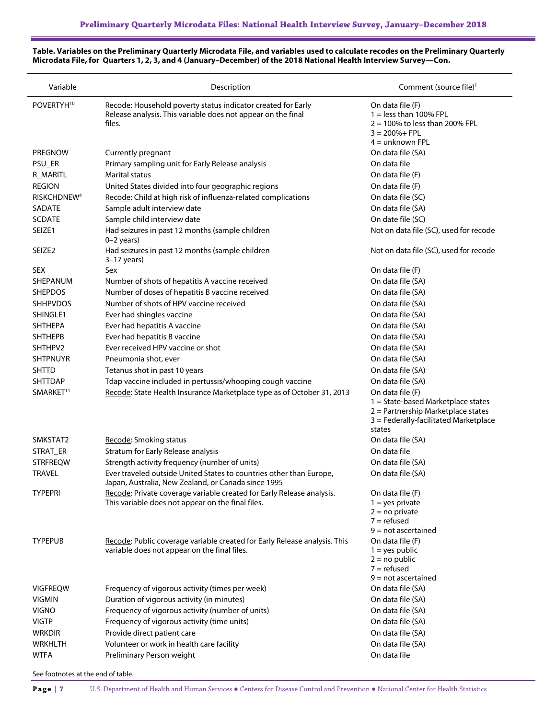#### Variable Description Comment (source file)1 POVERTYH<sup>10</sup> Recode: Household poverty status indicator created for Early Release analysis. This variable does not appear on the final files. On data file (F)  $1 =$  less than 100% FPL  $2 = 100\%$  to less than 200% FPL  $3 = 200% + FPI$  $4 =$  unknown FPI PREGNOW Currently pregnant Currently pregnant Currently and Device and Device and Device and Device and Device and Device and Device and Device and Device and Device and Device and Device and Device and Device and Device a PSU\_ER Primary sampling unit for Early Release analysis **PSU\_ER** On data file R\_MARITL Marital status **COMITLE MARITLE MARITLE MARITLE MARITLE** MARITLE MARITLE MARITLE MARITLE MARITLE MARITLE REGION United States divided into four geographic regions On data file (F) RISKCHDNEW<sup>4</sup> Recode: Child at high risk of influenza-related complications On data file (SC) SADATE Sample adult interview date Sample and Sample and Sample and Sample and Sample and Sample and Sample and S SCDATE Sample child interview date Sample child interview date SC SC SCDATE On date file (SC) SEIZE1 Had seizures in past 12 months (sample children 0–2 years) Not on data file (SC), used for recode SEIZE2 Had seizures in past 12 months (sample children 3–17 years) Not on data file (SC), used for recode SEX Sex On data file (F) SHEPANUM Number of shots of hepatitis A vaccine received CON data file (SA) SHEPDOS Number of doses of hepatitis B vaccine received CON data file (SA) SHHPVDOS Number of shots of HPV vaccine received SHHPVDOS On data file (SA) SHINGLE1 Ever had shingles vaccine Ever the On data file (SA) SHTHEPA Ever had hepatitis A vaccine CHT A variable CSA) and the CSA on data file (SA) SHTHEPB Ever had hepatitis B vaccine CONSERVITY CONSERVITY On data file (SA) SHTHPV2 Ever received HPV vaccine or shot On data file (SA) SHTPNUYR Pneumonia shot, ever **Department of the CON** data file (SA) SHTTD Tetanus shot in past 10 years Communication on data file (SA) SHTTDAP Tdap vaccine included in pertussis/whooping cough vaccine On data file (SA) SMARKET<sup>11</sup> Recode: State Health Insurance Marketplace type as of October 31, 2013 On data file (F) 1 = State-based Marketplace states 2 = Partnership Marketplace states 3 = Federally-facilitated Marketplace states SMKSTAT2 Recode: Smoking status COMENTATION CON data file (SA) STRAT\_ER Stratum for Early Release analysis **STRAT\_ER STRAT\_ER** On data file STRFREQW Strength activity frequency (number of units) On data file (SA) TRAVEL Ever traveled outside United States to countries other than Europe, Japan, Australia, New Zealand, or Canada since 1995 On data file (SA) TYPEPRI Recode: Private coverage variable created for Early Release analysis. This variable does not appear on the final files. On data file (F)  $1 = yes$  private  $2 = no$  private  $7 =$  refused 9 = not ascertained TYPEPUB Recode: Public coverage variable created for Early Release analysis. This variable does not appear on the final files. On data file (F)  $1 = yes$  public  $2 = no$  public  $7 =$  refused 9 = not ascertained VIGFREQW Frequency of vigorous activity (times per week) Condata file (SA) VIGMIN Duration of vigorous activity (in minutes) On data file (SA) VIGNO Frequency of vigorous activity (number of units) On data file (SA) VIGTP Frequency of vigorous activity (time units) Condata file (SA) WRKDIR Provide direct patient care and the CSA) example on data file (SA) WRKHLTH Volunteer or work in health care facility Version Condata file (SA) WTFA Preliminary Person weight On data file on the Conduct of the On data file

### **Table. Variables on the Preliminary Quarterly Microdata File, and variables used to calculate recodes on the Preliminary Quarterly Microdata File, for Quarters 1, 2, 3, and 4 (January–December) of the 2018 National Health Interview Survey—Con.**

See footnotes at the end of table.